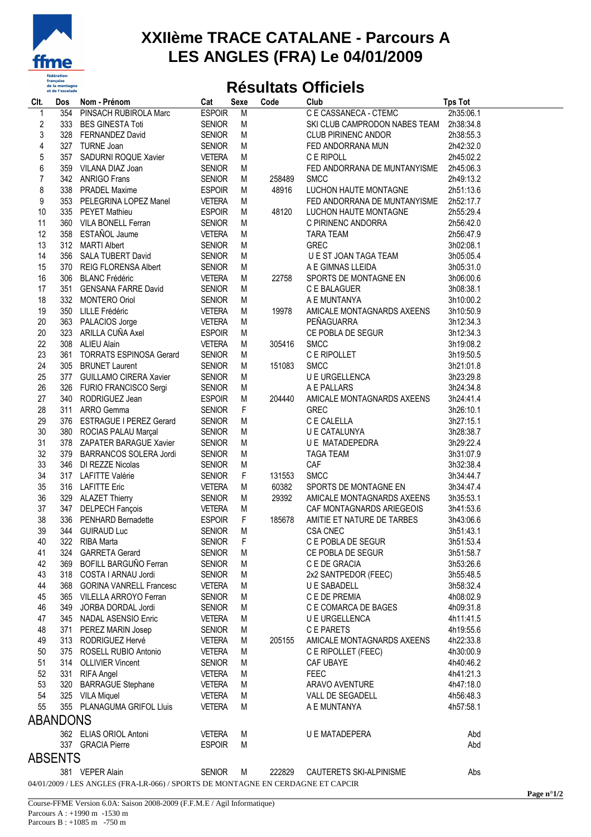

## **XXIIème TRACE CATALANE - Parcours A LES ANGLES (FRA) Le 04/01/2009**

## **Résultats Officiels**

| Clt.                    | Dos     | Nom - Prénom                                                                    | Cat           | <b>Sexe</b> | Code   | Club                                    | <b>Tps Tot</b>     |  |  |  |  |
|-------------------------|---------|---------------------------------------------------------------------------------|---------------|-------------|--------|-----------------------------------------|--------------------|--|--|--|--|
| 1                       |         | 354 PINSACH RUBIROLA Marc                                                       | <b>ESPOIR</b> | M           |        | C E CASSANECA - CTEMC                   | 2h35:06.1          |  |  |  |  |
| $\overline{\mathbf{c}}$ |         | 333 BES GINESTA Toti                                                            | SENIOR        | M           |        | SKI CLUB CAMPRODON NABES TEAM 2h38:34.8 |                    |  |  |  |  |
| 3                       |         | 328 FERNANDEZ David                                                             | <b>SENIOR</b> | M           |        | <b>CLUB PIRINENC ANDOR</b>              | 2h38:55.3          |  |  |  |  |
| 4                       |         | 327 TURNE Joan                                                                  | <b>SENIOR</b> | М           |        | FED ANDORRANA MUN                       | 2h42:32.0          |  |  |  |  |
| $\mathbf 5$             |         | 357 SADURNI ROQUE Xavier                                                        | <b>VETERA</b> | М           |        | C E RIPOLL                              | 2h45:02.2          |  |  |  |  |
| 6                       |         | 359 VILANA DIAZ Joan                                                            | <b>SENIOR</b> | М           |        | FED ANDORRANA DE MUNTANYISME            | 2h45:06.3          |  |  |  |  |
| $\overline{7}$          |         | 342 ANRIGO Frans                                                                | <b>SENIOR</b> | М           | 258489 | <b>SMCC</b>                             | 2h49:13.2          |  |  |  |  |
| 8                       |         | 338 PRADEL Maxime                                                               | <b>ESPOIR</b> | М           | 48916  | LUCHON HAUTE MONTAGNE                   | 2h51:13.6          |  |  |  |  |
| 9                       |         | 353 PELEGRINA LOPEZ Manel                                                       | VETERA        | M           |        | FED ANDORRANA DE MUNTANYISME            | 2h52:17.7          |  |  |  |  |
| 10                      |         | 335 PEYET Mathieu                                                               | <b>ESPOIR</b> | М           | 48120  | LUCHON HAUTE MONTAGNE                   | 2h55:29.4          |  |  |  |  |
| 11                      |         | 360 VILA BONELL Ferran                                                          | <b>SENIOR</b> | M           |        | C PIRINENC ANDORRA                      | 2h56:42.0          |  |  |  |  |
| 12                      |         | 358 ESTAÑOL Jaume                                                               | <b>VETERA</b> | М           |        | <b>TARA TEAM</b>                        | 2h56:47.9          |  |  |  |  |
| 13                      |         | 312 MARTI Albert                                                                | <b>SENIOR</b> | М           |        | <b>GREC</b>                             | 3h02:08.1          |  |  |  |  |
| 14                      |         | 356 SALA TUBERT David                                                           | <b>SENIOR</b> | M           |        | U E ST JOAN TAGA TEAM                   | 3h05:05.4          |  |  |  |  |
| 15                      |         | 370 REIG FLORENSA Albert                                                        | <b>SENIOR</b> | M           |        | A E GIMNAS LLEIDA                       | 3h05:31.0          |  |  |  |  |
| 16                      |         | 306 BLANC Frédéric                                                              | VETERA        | M           | 22758  | SPORTS DE MONTAGNE EN                   | 3h06:00.6          |  |  |  |  |
| 17                      |         | 351 GENSANA FARRE David                                                         | <b>SENIOR</b> | M           |        | C E BALAGUER                            | 3h08:38.1          |  |  |  |  |
| 18                      |         | 332 MONTERO Oriol                                                               | <b>SENIOR</b> | M           |        | A E MUNTANYA                            | 3h10:00.2          |  |  |  |  |
| 19                      |         | 350 LILLE Frédéric                                                              | VETERA        | М           | 19978  | AMICALE MONTAGNARDS AXEENS              | 3h10:50.9          |  |  |  |  |
| 20                      |         | 363 PALACIOS Jorge                                                              | VETERA        | М           |        | PEÑAGUARRA                              | 3h12:34.3          |  |  |  |  |
| 20                      |         | 323 ARILLA CUÑA Axel                                                            | <b>ESPOIR</b> | М           |        | CE POBLA DE SEGUR                       | 3h12:34.3          |  |  |  |  |
| 22                      |         | 308 ALIEU Alain                                                                 | VETERA        | М           | 305416 | <b>SMCC</b>                             | 3h19:08.2          |  |  |  |  |
| 23                      |         | 361 TORRATS ESPINOSA Gerard                                                     | <b>SENIOR</b> | М           |        | C E RIPOLLET<br>SMCC                    | 3h19:50.5          |  |  |  |  |
| 24                      |         | 305 BRUNET Laurent                                                              | <b>SENIOR</b> | м           | 151083 | <b>SMCC</b><br>SMCC<br>U E URGELLENCA   | 3h21:01.8          |  |  |  |  |
| 25                      |         | 377 GUILLAMO CIRERA Xavier                                                      | <b>SENIOR</b> | М           |        |                                         | 3h23:29.8          |  |  |  |  |
| 26                      |         | 326 FURIO FRANCISCO Sergi                                                       | <b>SENIOR</b> | М           |        | A E PALLARS                             | 3h24:34.8          |  |  |  |  |
| 27                      |         | 340 RODRIGUEZ Jean                                                              | <b>ESPOIR</b> | М           | 204440 | AMICALE MONTAGNARDS AXEENS              | 3h24:41.4          |  |  |  |  |
| 28                      |         | 311 ARRO Gemma                                                                  | <b>SENIOR</b> | $\mathsf F$ |        | <b>GREC</b>                             | 3h26:10.1          |  |  |  |  |
| 29                      |         | 376 ESTRAGUE I PEREZ Gerard                                                     | <b>SENIOR</b> | M           |        | C E CALELLA                             | 3h27:15.1          |  |  |  |  |
| 30                      |         | 380 ROCIAS PALAU Marçal                                                         | <b>SENIOR</b> | М           |        | U E CATALUNYA                           | 3h28:38.7          |  |  |  |  |
| 31                      |         | 378 ZAPATER BARAGUE Xavier                                                      | <b>SENIOR</b> | М           |        | U E MATADEPEDRA                         | 3h29:22.4          |  |  |  |  |
| 32                      |         | 379 BARRANCOS SOLERA Jordi                                                      | <b>SENIOR</b> | M           |        | TAGA TEAM                               | 3h31:07.9          |  |  |  |  |
| 33                      |         | 346 DI REZZE Nicolas                                                            | <b>SENIOR</b> | M           |        | CAF                                     | 3h32:38.4          |  |  |  |  |
| 34                      |         | 317 LAFITTE Valérie                                                             | <b>SENIOR</b> | F           | 131553 | <b>SMCC</b>                             | 3h34:44.7          |  |  |  |  |
| 35                      |         | 316 LAFITTE Eric                                                                | VETERA        | М           | 60382  | SPORTS DE MONTAGNE EN                   | 3h34:47.4          |  |  |  |  |
| 36                      |         | 329 ALAZET Thierry                                                              | <b>SENIOR</b> | М           | 29392  | AMICALE MONTAGNARDS AXEENS              | 3h35:53.1          |  |  |  |  |
| 37                      |         | 347 DELPECH Fançois                                                             | VETERA        | M           |        | CAF MONTAGNARDS ARIEGEOIS               | 3h41:53.6          |  |  |  |  |
| 38                      |         | 336 PENHARD Bernadette                                                          | <b>ESPOIR</b> | F           | 185678 | AMITIE ET NATURE DE TARBES              | 3h43:06.6          |  |  |  |  |
| 39                      |         | 344 GUIRAUD Luc                                                                 | <b>SENIOR</b> | M           |        | <b>CSA CNEC</b>                         | 3h51:43.1          |  |  |  |  |
| 40                      |         | 322 RIBA Marta                                                                  | <b>SENIOR</b> | $-F$        |        | C E POBLA DE SEGUR                      | 3h51:53.4          |  |  |  |  |
| 41                      |         | 324 GARRETA Gerard                                                              | <b>SENIOR</b> | M           |        | CE POBLA DE SEGUR                       | 3h51:58.7          |  |  |  |  |
| 42                      |         | 369 BOFILL BARGUÑO Ferran                                                       | <b>SENIOR</b> | M           |        | C E DE GRACIA                           | 3h53:26.6          |  |  |  |  |
| 43                      |         | 318 COSTA I ARNAU Jordi                                                         | <b>SENIOR</b> | M           |        | 2x2 SANTPEDOR (FEEC)                    | 3h55:48.5          |  |  |  |  |
| 44                      |         | 368 GORINA VANRELL Francesc                                                     | <b>VETERA</b> | M           |        | U E SABADELL                            | 3h58:32.4          |  |  |  |  |
| 45                      |         | 365 VILELLA ARROYO Ferran                                                       | <b>SENIOR</b> | M           |        | C E DE PREMIA                           | 4h08:02.9          |  |  |  |  |
| 46                      |         | 349 JORBA DORDAL Jordi                                                          | <b>SENIOR</b> | M           |        | C E COMARCA DE BAGES                    | 4h09:31.8          |  |  |  |  |
| 47                      |         | 345 NADAL ASENSIO Enric                                                         | <b>VETERA</b> | M           |        | U E URGELLENCA                          | 4h11:41.5          |  |  |  |  |
| 48                      |         | 371 PEREZ MARIN Josep                                                           | <b>SENIOR</b> | M           |        | C E PARETS                              | 4h19:55.6          |  |  |  |  |
| 49                      |         | 313 RODRIGUEZ Hervé                                                             | <b>VETERA</b> | M           | 205155 | AMICALE MONTAGNARDS AXEENS              | 4h22:33.8          |  |  |  |  |
| 50                      |         | 375 ROSELL RUBIO Antonio                                                        | <b>VETERA</b> | M           |        | C E RIPOLLET (FEEC)                     | 4h30:00.9          |  |  |  |  |
| 51                      |         | 314 OLLIVIER Vincent                                                            | <b>SENIOR</b> | M           |        | CAF UBAYE                               | 4h40:46.2          |  |  |  |  |
| 52                      |         | 331 RIFA Angel                                                                  | <b>VETERA</b> | M           |        | <b>FEEC</b>                             | 4h41:21.3          |  |  |  |  |
| 53                      |         | 320 BARRAGUE Stephane                                                           | <b>VETERA</b> | M           |        | ARAVO AVENTURE                          | 4h47:18.0          |  |  |  |  |
| 54                      |         | 325 VILA Miquel                                                                 | <b>VETERA</b> | M           |        | VALL DE SEGADELL                        | 4h56:48.3          |  |  |  |  |
| 55                      |         | 355 PLANAGUMA GRIFOL Lluis                                                      | <b>VETERA</b> | M           |        | A E MUNTANYA                            | 4h57:58.1          |  |  |  |  |
| ABANDONS                |         |                                                                                 |               |             |        |                                         |                    |  |  |  |  |
|                         |         | 362 ELIAS ORIOL Antoni                                                          | <b>VETERA</b> | M           |        | U E MATADEPERA                          | Abd                |  |  |  |  |
|                         |         | 337 GRACIA Pierre                                                               | <b>ESPOIR</b> | M           |        |                                         | Abd                |  |  |  |  |
|                         | ABSENTS |                                                                                 |               |             |        |                                         |                    |  |  |  |  |
|                         |         | 381 VEPER Alain                                                                 | <b>SENIOR</b> | M           | 222829 | CAUTERETS SKI-ALPINISME                 | Abs                |  |  |  |  |
|                         |         | 04/01/2009 / LES ANGLES (FRA-LR-066) / SPORTS DE MONTAGNE EN CERDAGNE ET CAPCIR |               |             |        |                                         |                    |  |  |  |  |
|                         |         |                                                                                 |               |             |        |                                         | Page $n^{\circ}1/$ |  |  |  |  |